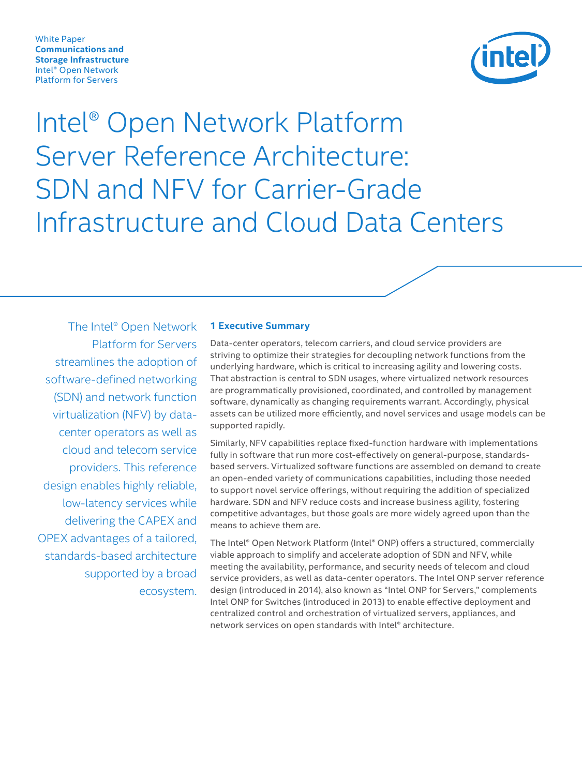<span id="page-0-0"></span>White Paper **Communications and Storage Infrastructure** Intel® Open Network Platform for Servers



Intel® Open Network Platform Server Reference Architecture: SDN and NFV for Carrier-Grade Infrastructure and Cloud Data Centers

The Intel® Open Network Platform for Servers streamlines the adoption of software-defined networking (SDN) and network function virtualization (NFV) by datacenter operators as well as cloud and telecom service providers. This reference design enables highly reliable, low-latency services while delivering the CAPEX and OPEX advantages of a tailored, standards-based architecture supported by a broad ecosystem.

#### **1 Executive Summary**

Data-center operators, telecom carriers, and cloud service providers are striving to optimize their strategies for decoupling network functions from the underlying hardware, which is critical to increasing agility and lowering costs. That abstraction is central to SDN usages, where virtualized network resources are programmatically provisioned, coordinated, and controlled by management software, dynamically as changing requirements warrant. Accordingly, physical assets can be utilized more efficiently, and novel services and usage models can be supported rapidly.

Similarly, NFV capabilities replace fixed-function hardware with implementations fully in software that run more cost-effectively on general-purpose, standardsbased servers. Virtualized software functions are assembled on demand to create an open-ended variety of communications capabilities, including those needed to support novel service offerings, without requiring the addition of specialized hardware. SDN and NFV reduce costs and increase business agility, fostering competitive advantages, but those goals are more widely agreed upon than the means to achieve them are.

The Intel® Open Network Platform (Intel® ONP) offers a structured, commercially viable approach to simplify and accelerate adoption of SDN and NFV, while meeting the availability, performance, and security needs of telecom and cloud service providers, as well as data-center operators. The Intel ONP server reference design (introduced in 2014), also known as "Intel ONP for Servers," complements Intel ONP for Switches (introduced in 2013) to enable effective deployment and centralized control and orchestration of virtualized servers, appliances, and network services on open standards with Intel® architecture.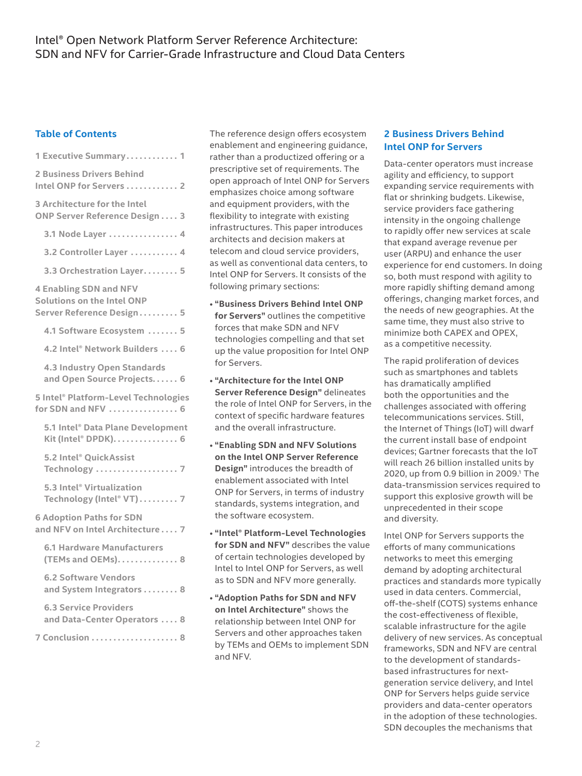### **Table of Contents**

| 1 Executive Summary 1                                                                    |
|------------------------------------------------------------------------------------------|
| 2 Business Drivers Behind<br>Intel ONP for Servers 2                                     |
| 3 Architecture for the Intel<br>ONP Server Reference Design 3                            |
| 3.1 Node Layer  4                                                                        |
| 3.2 Controller Layer 4                                                                   |
| 3.3 Orchestration Layer 5                                                                |
| <b>4 Enabling SDN and NFV</b><br>Solutions on the Intel ONP<br>Server Reference Design 5 |
| 4.1 Software Ecosystem  5                                                                |
| 4.2 Intel® Network Builders  6                                                           |
| <b>4.3 Industry Open Standards</b><br>and Open Source Projects 6                         |
| 5 Intel® Platform-Level Technologies<br>for SDN and NFV  6                               |
| 5.1 Intel® Data Plane Development<br>Kit (Intel® DPDK). 6                                |
| 5.2 Intel® QuickAssist<br>Technology  7                                                  |
| 5.3 Intel® Virtualization<br>Technology (Intel® VT) 7                                    |
| <b>6 Adoption Paths for SDN</b><br>and NFV on Intel Architecture 7                       |
| <b>6.1 Hardware Manufacturers</b><br>(TEMs and OEMs) 8                                   |
| <b>6.2 Software Vendors</b><br>and System Integrators  8                                 |
| <b>6.3 Service Providers</b><br>and Data-Center Operators  8                             |
| 7 Conclusion  8                                                                          |

The reference design offers ecosystem enablement and engineering guidance, rather than a productized offering or a prescriptive set of requirements. The open approach of Intel ONP for Servers emphasizes choice among software and equipment providers, with the flexibility to integrate with existing infrastructures. This paper introduces architects and decision makers at telecom and cloud service providers, as well as conventional data centers, to Intel ONP for Servers. It consists of the following primary sections:

- **"Business Drivers Behind Intel ONP for Servers"** outlines the competitive forces that make SDN and NFV technologies compelling and that set up the value proposition for Intel ONP for Servers.
- **"Architecture for the Intel ONP Server Reference Design"** delineates the role of Intel ONP for Servers, in the context of specific hardware features and the overall infrastructure.
- **"Enabling SDN and NFV Solutions on the Intel ONP Server Reference Design"** introduces the breadth of enablement associated with Intel ONP for Servers, in terms of industry standards, systems integration, and the software ecosystem.
- **"Intel® Platform-Level Technologies for SDN and NFV"** describes the value of certain technologies developed by Intel to Intel ONP for Servers, as well as to SDN and NFV more generally.
- **"Adoption Paths for SDN and NFV on Intel Architecture"** shows the relationship between Intel ONP for Servers and other approaches taken by TEMs and OEMs to implement SDN and NFV.

#### **2 Business Drivers Behind Intel ONP for Servers**

Data-center operators must increase agility and efficiency, to support expanding service requirements with flat or shrinking budgets. Likewise, service providers face gathering intensity in the ongoing challenge to rapidly offer new services at scale that expand average revenue per user (ARPU) and enhance the user experience for end customers. In doing so, both must respond with agility to more rapidly shifting demand among offerings, changing market forces, and the needs of new geographies. At the same time, they must also strive to minimize both CAPEX and OPEX, as a competitive necessity.

The rapid proliferation of devices such as smartphones and tablets has dramatically amplified both the opportunities and the challenges associated with offering telecommunications services. Still, the Internet of Things (IoT) will dwarf the current install base of endpoint devices; Gartner forecasts that the IoT will reach 26 billion installed units by 2020, up from 0.9 billion in 2009.<sup>1</sup> The data-transmission services required to support this explosive growth will be unprecedented in their scope and diversity.

Intel ONP for Servers supports the efforts of many communications networks to meet this emerging demand by adopting architectural practices and standards more typically used in data centers. Commercial, off-the-shelf (COTS) systems enhance the cost-effectiveness of flexible, scalable infrastructure for the agile delivery of new services. As conceptual frameworks, SDN and NFV are central to the development of standardsbased infrastructures for nextgeneration service delivery, and Intel ONP for Servers helps guide service providers and data-center operators in the adoption of these technologies. SDN decouples the mechanisms that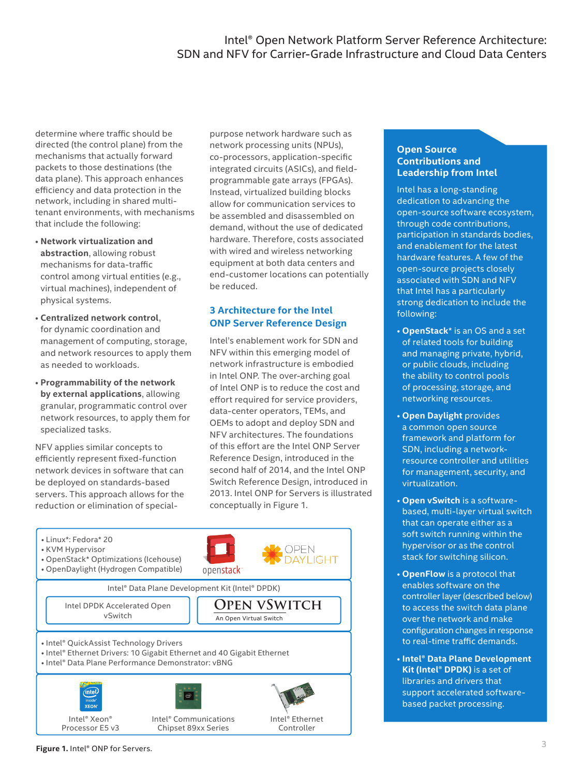<span id="page-2-0"></span>determine where traffic should be directed (the control plane) from the mechanisms that actually forward packets to those destinations (the data plane). This approach enhances efficiency and data protection in the network, including in shared multitenant environments, with mechanisms that include the following:

- **Network virtualization and abstraction**, allowing robust mechanisms for data-traffic control among virtual entities (e.g., virtual machines), independent of physical systems.
- **Centralized network control**, for dynamic coordination and management of computing, storage, and network resources to apply them as needed to workloads.
- **Programmability of the network by external applications**, allowing granular, programmatic control over network resources, to apply them for specialized tasks.

NFV applies similar concepts to efficiently represent fixed-function network devices in software that can be deployed on standards-based servers. This approach allows for the reduction or elimination of specialpurpose network hardware such as network processing units (NPUs), co-processors, application-specific integrated circuits (ASICs), and fieldprogrammable gate arrays (FPGAs). Instead, virtualized building blocks allow for communication services to be assembled and disassembled on demand, without the use of dedicated hardware. Therefore, costs associated with wired and wireless networking equipment at both data centers and end-customer locations can potentially be reduced.

## **3 Architecture for the Intel ONP Server Reference Design**

Intel's enablement work for SDN and NFV within this emerging model of network infrastructure is embodied in Intel ONP. The over-arching goal of Intel ONP is to reduce the cost and effort required for service providers, data-center operators, TEMs, and OEMs to adopt and deploy SDN and NFV architectures. The foundations of this effort are the Intel ONP Server Reference Design, introduced in the second half of 2014, and the Intel ONP Switch Reference Design, introduced in 2013. Intel ONP for Servers is illustrated conceptually in Figure 1.



### **Open Source Contributions and Leadership from Intel**

Intel has a long-standing dedication to advancing the open-source software ecosystem, through code contributions, participation in standards bodies, and enablement for the latest hardware features. A few of the open-source projects closely associated with SDN and NFV that Intel has a particularly strong dedication to include the following:

- **OpenStack**\* is an OS and a set of related tools for building and managing private, hybrid, or public clouds, including the ability to control pools of processing, storage, and networking resources.
- **Open Daylight** provides a common open source framework and platform for SDN, including a networkresource controller and utilities for management, security, and virtualization.
- **Open vSwitch** is a softwarebased, multi-layer virtual switch that can operate either as a soft switch running within the hypervisor or as the control stack for switching silicon.
- **OpenFlow** is a protocol that enables software on the controller layer (described below) to access the switch data plane over the network and make configuration changes in response to real-time traffic demands.
- **Intel® Data Plane Development Kit (Intel® DPDK)** is a set of libraries and drivers that support accelerated softwarebased packet processing.

**Figure 1.** Intel® ONP for Servers.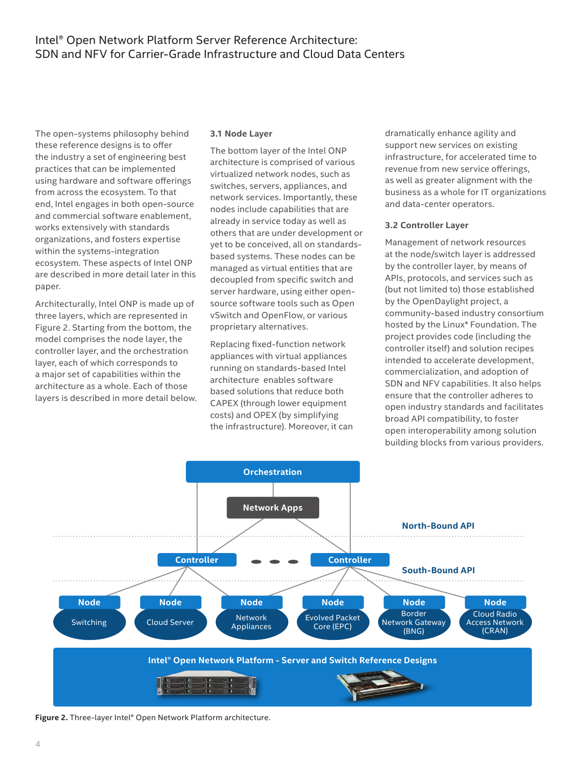<span id="page-3-0"></span>The open-systems philosophy behind these reference designs is to offer the industry a set of engineering best practices that can be implemented using hardware and software offerings from across the ecosystem. To that end, Intel engages in both open-source and commercial software enablement, works extensively with standards organizations, and fosters expertise within the systems-integration ecosystem. These aspects of Intel ONP are described in more detail later in this paper.

Architecturally, Intel ONP is made up of three layers, which are represented in Figure 2. Starting from the bottom, the model comprises the node layer, the controller layer, and the orchestration layer, each of which corresponds to a major set of capabilities within the architecture as a whole. Each of those layers is described in more detail below.

#### **3.1 Node Layer**

The bottom layer of the Intel ONP architecture is comprised of various virtualized network nodes, such as switches, servers, appliances, and network services. Importantly, these nodes include capabilities that are already in service today as well as others that are under development or yet to be conceived, all on standardsbased systems. These nodes can be managed as virtual entities that are decoupled from specific switch and server hardware, using either opensource software tools such as Open vSwitch and OpenFlow, or various proprietary alternatives.

Replacing fixed-function network appliances with virtual appliances running on standards-based Intel architecture enables software based solutions that reduce both CAPEX (through lower equipment costs) and OPEX (by simplifying the infrastructure). Moreover, it can

dramatically enhance agility and support new services on existing infrastructure, for accelerated time to revenue from new service offerings, as well as greater alignment with the business as a whole for IT organizations and data-center operators.

#### **3.2 Controller Layer**

Management of network resources at the node/switch layer is addressed by the controller layer, by means of APIs, protocols, and services such as (but not limited to) those established by the OpenDaylight project, a community-based industry consortium hosted by the Linux\* Foundation. The project provides code (including the controller itself) and solution recipes intended to accelerate development, commercialization, and adoption of SDN and NFV capabilities. It also helps ensure that the controller adheres to open industry standards and facilitates broad API compatibility, to foster open interoperability among solution building blocks from various providers.



**Figure 2.** Three-layer Intel® Open Network Platform architecture.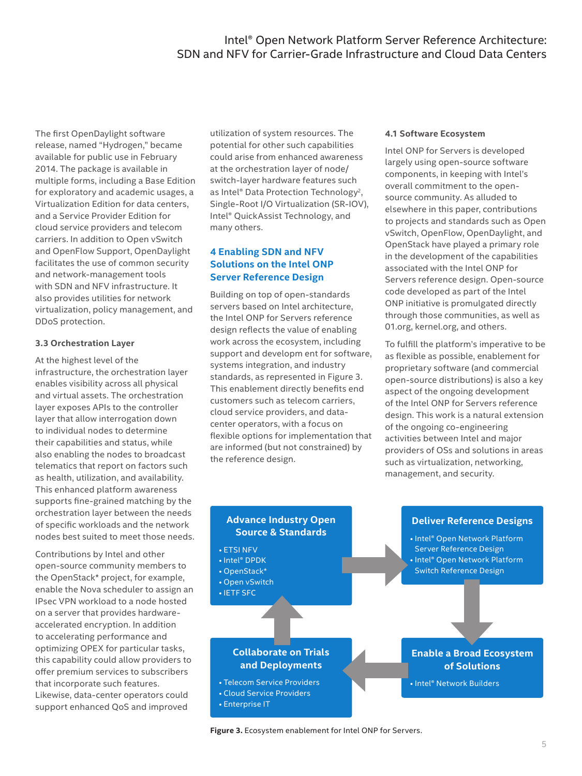<span id="page-4-0"></span>The first OpenDaylight software release, named "Hydrogen," became available for public use in February 2014. The package is available in multiple forms, including a Base Edition for exploratory and academic usages, a Virtualization Edition for data centers, and a Service Provider Edition for cloud service providers and telecom carriers. In addition to Open vSwitch and OpenFlow Support, OpenDaylight facilitates the use of common security and network-management tools with SDN and NFV infrastructure. It also provides utilities for network virtualization, policy management, and DDoS protection.

#### **3.3 Orchestration Layer**

At the highest level of the infrastructure, the orchestration layer enables visibility across all physical and virtual assets. The orchestration layer exposes APIs to the controller layer that allow interrogation down to individual nodes to determine their capabilities and status, while also enabling the nodes to broadcast telematics that report on factors such as health, utilization, and availability. This enhanced platform awareness supports fine-grained matching by the orchestration layer between the needs of specific workloads and the network nodes best suited to meet those needs.

Contributions by Intel and other open-source community members to the OpenStack\* project, for example, enable the Nova scheduler to assign an IPsec VPN workload to a node hosted on a server that provides hardwareaccelerated encryption. In addition to accelerating performance and optimizing OPEX for particular tasks, this capability could allow providers to offer premium services to subscribers that incorporate such features. Likewise, data-center operators could support enhanced QoS and improved

utilization of system resources. The potential for other such capabilities could arise from enhanced awareness at the orchestration layer of node/ switch-layer hardware features such as Intel® Data Protection Technology<sup>2</sup>, Single-Root I/O Virtualization (SR-IOV), Intel® QuickAssist Technology, and many others.

## **4 Enabling SDN and NFV Solutions on the Intel ONP Server Reference Design**

Building on top of open-standards servers based on Intel architecture, the Intel ONP for Servers reference design reflects the value of enabling work across the ecosystem, including support and developm ent for software, systems integration, and industry standards, as represented in Figure 3. This enablement directly benefits end customers such as telecom carriers, cloud service providers, and datacenter operators, with a focus on flexible options for implementation that are informed (but not constrained) by the reference design.

#### **4.1 Software Ecosystem**

Intel ONP for Servers is developed largely using open-source software components, in keeping with Intel's overall commitment to the opensource community. As alluded to elsewhere in this paper, contributions to projects and standards such as Open vSwitch, OpenFlow, OpenDaylight, and OpenStack have played a primary role in the development of the capabilities associated with the Intel ONP for Servers reference design. Open-source code developed as part of the Intel ONP initiative is promulgated directly through those communities, as well as 01.org, kernel.org, and others.

To fulfill the platform's imperative to be as flexible as possible, enablement for proprietary software (and commercial open-source distributions) is also a key aspect of the ongoing development of the Intel ONP for Servers reference design. This work is a natural extension of the ongoing co-engineering activities between Intel and major providers of OSs and solutions in areas such as virtualization, networking, management, and security.



**Figure 3.** Ecosystem enablement for Intel ONP for Servers.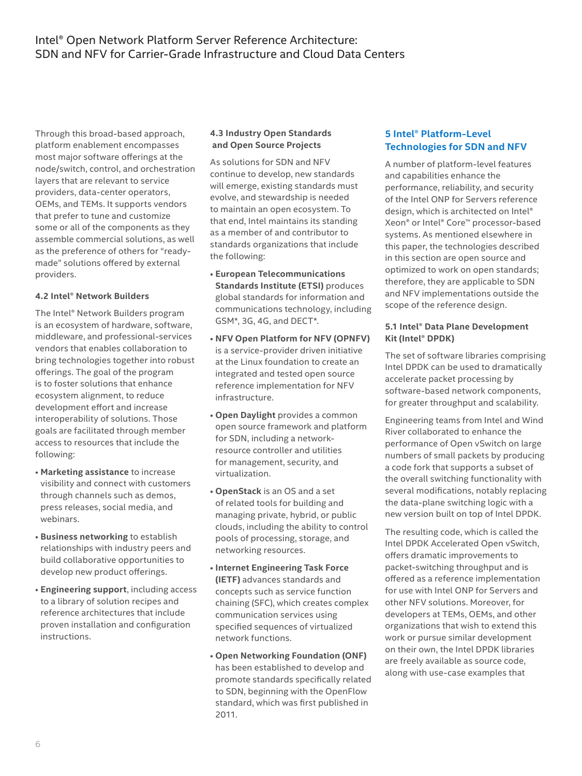<span id="page-5-0"></span>Through this broad-based approach, platform enablement encompasses most major software offerings at the node/switch, control, and orchestration layers that are relevant to service providers, data-center operators, OEMs, and TEMs. It supports vendors that prefer to tune and customize some or all of the components as they assemble commercial solutions, as well as the preference of others for "readymade" solutions offered by external providers.

#### **4.2 Intel® Network Builders**

The Intel® Network Builders program is an ecosystem of hardware, software, middleware, and professional-services vendors that enables collaboration to bring technologies together into robust offerings. The goal of the program is to foster solutions that enhance ecosystem alignment, to reduce development effort and increase interoperability of solutions. Those goals are facilitated through member access to resources that include the following:

- **Marketing assistance** to increase visibility and connect with customers through channels such as demos, press releases, social media, and webinars.
- **Business networking** to establish relationships with industry peers and build collaborative opportunities to develop new product offerings.
- **Engineering support**, including access to a library of solution recipes and reference architectures that include proven installation and configuration instructions.

#### **4.3 Industry Open Standards and Open Source Projects**

As solutions for SDN and NFV continue to develop, new standards will emerge, existing standards must evolve, and stewardship is needed to maintain an open ecosystem. To that end, Intel maintains its standing as a member of and contributor to standards organizations that include the following:

- **European Telecommunications Standards Institute (ETSI)** produces global standards for information and communications technology, including GSM\*, 3G, 4G, and DECT\*.
- **NFV Open Platform for NFV (OPNFV)** is a service-provider driven initiative at the Linux foundation to create an integrated and tested open source reference implementation for NFV infrastructure.
- **Open Daylight** provides a common open source framework and platform for SDN, including a networkresource controller and utilities for management, security, and virtualization.
- **OpenStack** is an OS and a set of related tools for building and managing private, hybrid, or public clouds, including the ability to control pools of processing, storage, and networking resources.
- **Internet Engineering Task Force (IETF)** advances standards and concepts such as service function chaining (SFC), which creates complex communication services using specified sequences of virtualized network functions.
- **Open Networking Foundation (ONF)** has been established to develop and promote standards specifically related to SDN, beginning with the OpenFlow standard, which was first published in 2011.

## **5 Intel® Platform-Level Technologies for SDN and NFV**

A number of platform-level features and capabilities enhance the performance, reliability, and security of the Intel ONP for Servers reference design, which is architected on Intel® Xeon® or Intel® Core™ processor-based systems. As mentioned elsewhere in this paper, the technologies described in this section are open source and optimized to work on open standards; therefore, they are applicable to SDN and NFV implementations outside the scope of the reference design.

#### **5.1 Intel® Data Plane Development Kit (Intel® DPDK)**

The set of software libraries comprising Intel DPDK can be used to dramatically accelerate packet processing by software-based network components, for greater throughput and scalability.

Engineering teams from Intel and Wind River collaborated to enhance the performance of Open vSwitch on large numbers of small packets by producing a code fork that supports a subset of the overall switching functionality with several modifications, notably replacing the data-plane switching logic with a new version built on top of Intel DPDK.

The resulting code, which is called the Intel DPDK Accelerated Open vSwitch, offers dramatic improvements to packet-switching throughput and is offered as a reference implementation for use with Intel ONP for Servers and other NFV solutions. Moreover, for developers at TEMs, OEMs, and other organizations that wish to extend this work or pursue similar development on their own, the Intel DPDK libraries are freely available as source code, along with use-case examples that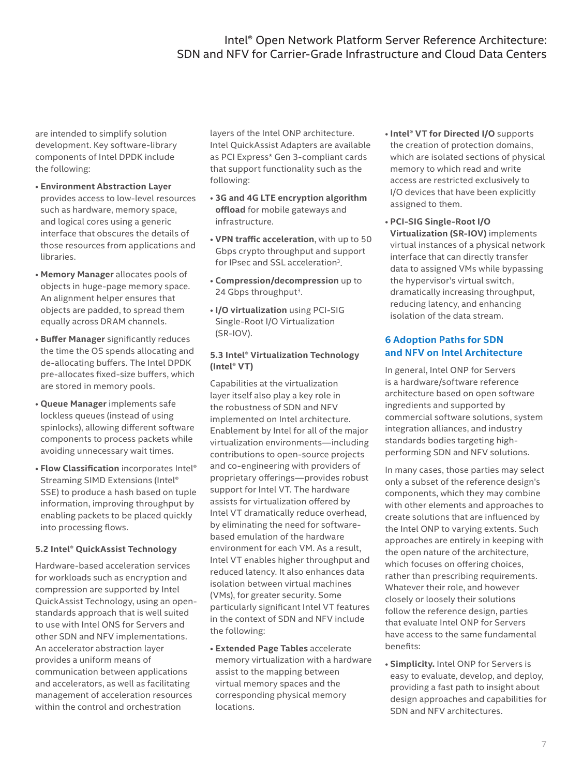<span id="page-6-0"></span>are intended to simplify solution development. Key software-library components of Intel DPDK include the following:

- **Environment Abstraction Layer**  provides access to low-level resources such as hardware, memory space, and logical cores using a generic interface that obscures the details of those resources from applications and libraries.
- **Memory Manager** allocates pools of objects in huge-page memory space. An alignment helper ensures that objects are padded, to spread them equally across DRAM channels.
- **Buffer Manager** significantly reduces the time the OS spends allocating and de-allocating buffers. The Intel DPDK pre-allocates fixed-size buffers, which are stored in memory pools.
- **Queue Manager** implements safe lockless queues (instead of using spinlocks), allowing different software components to process packets while avoiding unnecessary wait times.
- **Flow Classification** incorporates Intel® Streaming SIMD Extensions (Intel® SSE) to produce a hash based on tuple information, improving throughput by enabling packets to be placed quickly into processing flows.

#### **5.2 Intel® QuickAssist Technology**

Hardware-based acceleration services for workloads such as encryption and compression are supported by Intel QuickAssist Technology, using an openstandards approach that is well suited to use with Intel ONS for Servers and other SDN and NFV implementations. An accelerator abstraction layer provides a uniform means of communication between applications and accelerators, as well as facilitating management of acceleration resources within the control and orchestration

layers of the Intel ONP architecture. Intel QuickAssist Adapters are available as PCI Express\* Gen 3-compliant cards that support functionality such as the following:

- **3G and 4G LTE encryption algorithm offload** for mobile gateways and infrastructure.
- **VPN traffic acceleration**, with up to 50 Gbps crypto throughput and support for IPsec and SSL acceleration<sup>3</sup>.
- **Compression/decompression** up to 24 Gbps throughput<sup>3</sup>.
- **I/O virtualization** using PCI-SIG Single-Root I/O Virtualization (SR-IOV).

#### **5.3 Intel® Virtualization Technology (Intel® VT)**

Capabilities at the virtualization layer itself also play a key role in the robustness of SDN and NFV implemented on Intel architecture. Enablement by Intel for all of the major virtualization environments—including contributions to open-source projects and co-engineering with providers of proprietary offerings—provides robust support for Intel VT. The hardware assists for virtualization offered by Intel VT dramatically reduce overhead, by eliminating the need for softwarebased emulation of the hardware environment for each VM. As a result, Intel VT enables higher throughput and reduced latency. It also enhances data isolation between virtual machines (VMs), for greater security. Some particularly significant Intel VT features in the context of SDN and NFV include the following:

• **Extended Page Tables** accelerate memory virtualization with a hardware assist to the mapping between virtual memory spaces and the corresponding physical memory locations.

- **Intel® VT for Directed I/O** supports the creation of protection domains, which are isolated sections of physical memory to which read and write access are restricted exclusively to I/O devices that have been explicitly assigned to them.
- **PCI-SIG Single-Root I/O Virtualization (SR-IOV)** implements virtual instances of a physical network interface that can directly transfer data to assigned VMs while bypassing the hypervisor's virtual switch, dramatically increasing throughput, reducing latency, and enhancing isolation of the data stream.

## **6 Adoption Paths for SDN and NFV on Intel Architecture**

In general, Intel ONP for Servers is a hardware/software reference architecture based on open software ingredients and supported by commercial software solutions, system integration alliances, and industry standards bodies targeting highperforming SDN and NFV solutions.

In many cases, those parties may select only a subset of the reference design's components, which they may combine with other elements and approaches to create solutions that are influenced by the Intel ONP to varying extents. Such approaches are entirely in keeping with the open nature of the architecture, which focuses on offering choices, rather than prescribing requirements. Whatever their role, and however closely or loosely their solutions follow the reference design, parties that evaluate Intel ONP for Servers have access to the same fundamental benefits:

• **Simplicity.** Intel ONP for Servers is easy to evaluate, develop, and deploy, providing a fast path to insight about design approaches and capabilities for SDN and NFV architectures.